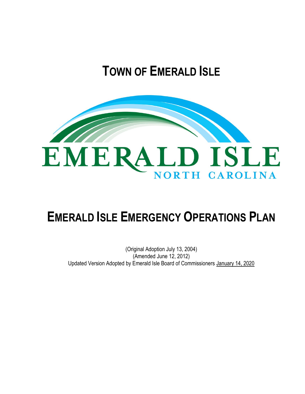# **TOWN OF EMERALD ISLE**



# **EMERALD ISLE EMERGENCY OPERATIONS PLAN**

# (Original Adoption July 13, 2004) (Amended June 12, 2012) Updated Version Adopted by Emerald Isle Board of Commissioners January 14, 2020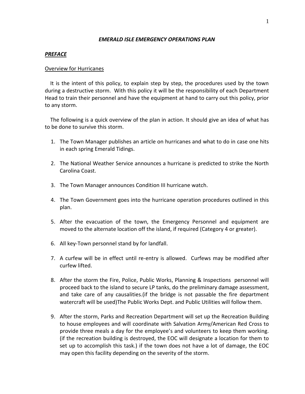# *EMERALD ISLE EMERGENCY OPERATIONS PLAN*

## *PREFACE*

## Overview for Hurricanes

 It is the intent of this policy, to explain step by step, the procedures used by the town during a destructive storm. With this policy it will be the responsibility of each Department Head to train their personnel and have the equipment at hand to carry out this policy, prior to any storm.

 The following is a quick overview of the plan in action. It should give an idea of what has to be done to survive this storm.

- 1. The Town Manager publishes an article on hurricanes and what to do in case one hits in each spring Emerald Tidings.
- 2. The National Weather Service announces a hurricane is predicted to strike the North Carolina Coast.
- 3. The Town Manager announces Condition III hurricane watch.
- 4. The Town Government goes into the hurricane operation procedures outlined in this plan.
- 5. After the evacuation of the town, the Emergency Personnel and equipment are moved to the alternate location off the island, if required (Category 4 or greater).
- 6. All key-Town personnel stand by for landfall.
- 7. A curfew will be in effect until re-entry is allowed. Curfews may be modified after curfew lifted.
- 8. After the storm the Fire, Police, Public Works, Planning & Inspections personnel will proceed back to the island to secure LP tanks, do the preliminary damage assessment, and take care of any causalities.(if the bridge is not passable the fire department watercraft will be used)The Public Works Dept. and Public Utilities will follow them.
- 9. After the storm, Parks and Recreation Department will set up the Recreation Building to house employees and will coordinate with Salvation Army/American Red Cross to provide three meals a day for the employee's and volunteers to keep them working. (if the recreation building is destroyed, the EOC will designate a location for them to set up to accomplish this task.) if the town does not have a lot of damage, the EOC may open this facility depending on the severity of the storm.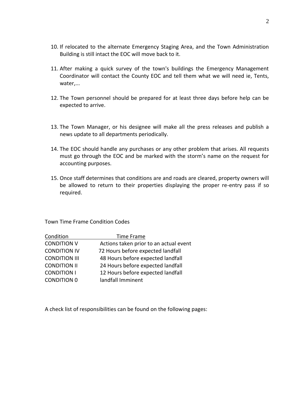- 10. If relocated to the alternate Emergency Staging Area, and the Town Administration Building is still intact the EOC will move back to it.
- 11. After making a quick survey of the town's buildings the Emergency Management Coordinator will contact the County EOC and tell them what we will need ie, Tents, water,...
- 12. The Town personnel should be prepared for at least three days before help can be expected to arrive.
- 13. The Town Manager, or his designee will make all the press releases and publish a news update to all departments periodically.
- 14. The EOC should handle any purchases or any other problem that arises. All requests must go through the EOC and be marked with the storm's name on the request for accounting purposes.
- 15. Once staff determines that conditions are and roads are cleared, property owners will be allowed to return to their properties displaying the proper re-entry pass if so required.

Town Time Frame Condition Codes

| Condition            | Time Frame                             |
|----------------------|----------------------------------------|
| <b>CONDITION V</b>   | Actions taken prior to an actual event |
| <b>CONDITION IV</b>  | 72 Hours before expected landfall      |
| <b>CONDITION III</b> | 48 Hours before expected landfall      |
| <b>CONDITION II</b>  | 24 Hours before expected landfall      |
| <b>CONDITION I</b>   | 12 Hours before expected landfall      |
| <b>CONDITION 0</b>   | landfall Imminent                      |

A check list of responsibilities can be found on the following pages: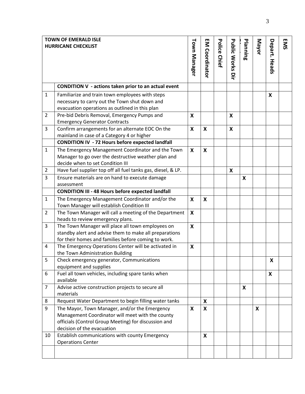| <b>TOWN OF EMERALD ISLE</b><br><b>HURRICANE CHECKLIST</b> |                                                                                                                                                                                                         |                           | EM<br>Coordinator         | Police Chief | <b>Public Works Dire</b> | Planning | Mayor | Depart. Heads | <b>EMS</b> |
|-----------------------------------------------------------|---------------------------------------------------------------------------------------------------------------------------------------------------------------------------------------------------------|---------------------------|---------------------------|--------------|--------------------------|----------|-------|---------------|------------|
|                                                           | CONDITION V - actions taken prior to an actual event                                                                                                                                                    |                           |                           |              |                          |          |       |               |            |
| $\mathbf{1}$                                              | Familiarize and train town employees with steps<br>necessary to carry out the Town shut down and<br>evacuation operations as outlined in this plan                                                      |                           |                           |              |                          |          |       | X             |            |
| $\overline{2}$                                            | Pre-bid Debris Removal, Emergency Pumps and<br><b>Emergency Generator Contracts</b>                                                                                                                     | X                         |                           |              | X                        |          |       |               |            |
| 3                                                         | Confirm arrangements for an alternate EOC On the<br>mainland in case of a Category 4 or higher                                                                                                          | X                         | X                         |              | X                        |          |       |               |            |
| $\mathbf{1}$                                              | <b>CONDITION IV - 72 Hours before expected landfall</b><br>The Emergency Management Coordinator and the Town<br>Manager to go over the destructive weather plan and<br>decide when to set Condition III | $\boldsymbol{\mathsf{X}}$ | X                         |              |                          |          |       |               |            |
| $\overline{2}$                                            | Have fuel supplier top off all fuel tanks gas, diesel, & LP.                                                                                                                                            |                           |                           |              | X                        |          |       |               |            |
| 3                                                         | Ensure materials are on hand to execute damage<br>assessment                                                                                                                                            |                           |                           |              |                          | X        |       |               |            |
|                                                           | <b>CONDITION III - 48 Hours before expected landfall</b>                                                                                                                                                |                           |                           |              |                          |          |       |               |            |
| $\mathbf{1}$                                              | The Emergency Management Coordinator and/or the<br>Town Manager will establish Condition III                                                                                                            | $\boldsymbol{\mathsf{X}}$ | $\boldsymbol{\mathsf{X}}$ |              |                          |          |       |               |            |
| $\overline{2}$                                            | The Town Manager will call a meeting of the Department<br>heads to review emergency plans.                                                                                                              | X                         |                           |              |                          |          |       |               |            |
| 3                                                         | The Town Manager will place all town employees on<br>standby alert and advise them to make all preparations<br>for their homes and families before coming to work.                                      | X                         |                           |              |                          |          |       |               |            |
| 4                                                         | The Emergency Operations Center will be activated in<br>the Town Administration Building                                                                                                                | X                         |                           |              |                          |          |       |               |            |
| 5                                                         | Check emergency generator, Communications<br>equipment and supplies                                                                                                                                     |                           |                           |              |                          |          |       | X             |            |
| 6                                                         | Fuel all town vehicles, including spare tanks when<br>available                                                                                                                                         |                           |                           |              |                          |          |       | X             |            |
| $\overline{7}$                                            | Advise active construction projects to secure all<br>materials                                                                                                                                          |                           |                           |              |                          | X        |       |               |            |
| 8                                                         | Request Water Department to begin filling water tanks                                                                                                                                                   |                           | X                         |              |                          |          |       |               |            |
| 9                                                         | The Mayor, Town Manager, and/or the Emergency<br>Management Coordinator will meet with the county<br>officials (Control Group Meeting) for discussion and<br>decision of the evacuation                 | X                         | X                         |              |                          |          | X     |               |            |
| 10                                                        | Establish communications with county Emergency<br><b>Operations Center</b>                                                                                                                              |                           | X                         |              |                          |          |       |               |            |
|                                                           |                                                                                                                                                                                                         |                           |                           |              |                          |          |       |               |            |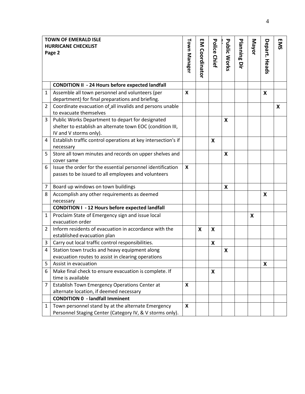| <b>TOWN OF EMERALD ISLE</b> |                                                               |                           |                         |              |                           |                  |       |              |            |
|-----------------------------|---------------------------------------------------------------|---------------------------|-------------------------|--------------|---------------------------|------------------|-------|--------------|------------|
| <b>HURRICANE CHECKLIST</b>  |                                                               |                           | $\overline{\mathsf{S}}$ | Police       |                           |                  | Mayor |              | <b>EMS</b> |
|                             | Page 2                                                        |                           |                         |              |                           | Planning         |       | Depart.      |            |
|                             |                                                               | Town Manager              | Coordinator             | <b>Chief</b> | <b>Public Works</b>       |                  |       |              |            |
|                             |                                                               |                           |                         |              |                           | $\sum_{i=1}^{n}$ |       | <b>Heads</b> |            |
|                             |                                                               |                           |                         |              |                           |                  |       |              |            |
|                             | <b>CONDITION II - 24 Hours before expected landfall</b>       |                           |                         |              |                           |                  |       |              |            |
| $\mathbf{1}$                | Assemble all town personnel and volunteers (per               | $\boldsymbol{\mathsf{x}}$ |                         |              |                           |                  |       | X            |            |
|                             | department) for final preparations and briefing.              |                           |                         |              |                           |                  |       |              |            |
| 2                           | Coordinate evacuation of all invalids and persons unable      |                           |                         |              |                           |                  |       |              | X          |
|                             | to evacuate themselves                                        |                           |                         |              |                           |                  |       |              |            |
| 3                           | Public Works Department to depart for designated              |                           |                         |              | X                         |                  |       |              |            |
|                             | shelter to establish an alternate town EOC (condition III,    |                           |                         |              |                           |                  |       |              |            |
|                             | IV and V storms only).                                        |                           |                         |              |                           |                  |       |              |            |
| 4                           | Establish traffic control operations at key intersection's if |                           |                         | X            |                           |                  |       |              |            |
|                             | necessary                                                     |                           |                         |              |                           |                  |       |              |            |
| 5                           | Store all town minutes and records on upper shelves and       |                           |                         |              | $\boldsymbol{\mathsf{X}}$ |                  |       |              |            |
|                             | cover same                                                    |                           |                         |              |                           |                  |       |              |            |
| 6                           | Issue the order for the essential personnel identification    | X                         |                         |              |                           |                  |       |              |            |
|                             | passes to be issued to all employees and volunteers           |                           |                         |              |                           |                  |       |              |            |
|                             |                                                               |                           |                         |              |                           |                  |       |              |            |
| 7                           | Board up windows on town buildings                            |                           |                         |              | X                         |                  |       |              |            |
| 8                           | Accomplish any other requirements as deemed                   |                           |                         |              |                           |                  |       | X            |            |
|                             | necessary                                                     |                           |                         |              |                           |                  |       |              |            |
|                             | <b>CONDITION I - 12 Hours before expected landfall</b>        |                           |                         |              |                           |                  |       |              |            |
| 1                           | Proclaim State of Emergency sign and issue local              |                           |                         |              |                           |                  | X     |              |            |
|                             | evacuation order                                              |                           |                         |              |                           |                  |       |              |            |
| 2                           | Inform residents of evacuation in accordance with the         |                           | X                       | X            |                           |                  |       |              |            |
|                             | established evacuation plan                                   |                           |                         |              |                           |                  |       |              |            |
| 3                           | Carry out local traffic control responsibilities.             |                           |                         | X            |                           |                  |       |              |            |
| 4                           | Station town trucks and heavy equipment along                 |                           |                         |              | X                         |                  |       |              |            |
|                             | evacuation routes to assist in clearing operations            |                           |                         |              |                           |                  |       |              |            |
| 5                           | Assist in evacuation                                          |                           |                         |              |                           |                  |       | X            |            |
| 6                           | Make final check to ensure evacuation is complete. If         |                           |                         | X            |                           |                  |       |              |            |
|                             | time is available                                             |                           |                         |              |                           |                  |       |              |            |
| $\overline{7}$              | Establish Town Emergency Operations Center at                 |                           |                         |              |                           |                  |       |              |            |
|                             | alternate location, if deemed necessary                       |                           |                         |              |                           |                  |       |              |            |
|                             | <b>CONDITION 0 - landfall Imminent</b>                        |                           |                         |              |                           |                  |       |              |            |
| 1                           | Town personnel stand by at the alternate Emergency            | X                         |                         |              |                           |                  |       |              |            |
|                             | Personnel Staging Center (Category IV, & V storms only).      |                           |                         |              |                           |                  |       |              |            |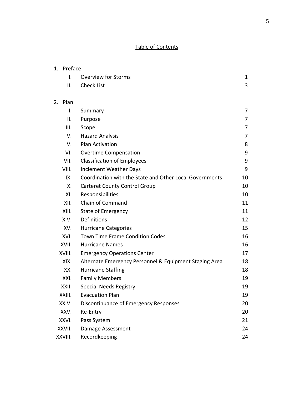# Table of Contents

| 1. Preface     |                                                         |    |  |  |  |
|----------------|---------------------------------------------------------|----|--|--|--|
| I.             | <b>Overview for Storms</b>                              | 1  |  |  |  |
| ΙΙ.            | <b>Check List</b>                                       | 3  |  |  |  |
| 2. Plan        |                                                         |    |  |  |  |
| $\mathsf{I}$ . | Summary                                                 | 7  |  |  |  |
| ΙΙ.            | Purpose                                                 | 7  |  |  |  |
| III.           | Scope                                                   | 7  |  |  |  |
| IV.            | <b>Hazard Analysis</b>                                  | 7  |  |  |  |
| V.             | <b>Plan Activation</b>                                  | 8  |  |  |  |
| VI.            | <b>Overtime Compensation</b>                            | 9  |  |  |  |
| VII.           | <b>Classification of Employees</b>                      | 9  |  |  |  |
| VIII.          | <b>Inclement Weather Days</b>                           | 9  |  |  |  |
| IX.            | Coordination with the State and Other Local Governments | 10 |  |  |  |
| Χ.             | <b>Carteret County Control Group</b>                    | 10 |  |  |  |
| XI.            | Responsibilities                                        | 10 |  |  |  |
| XII.           | Chain of Command                                        | 11 |  |  |  |
| XIII.          | <b>State of Emergency</b>                               | 11 |  |  |  |
| XIV.           | Definitions                                             | 12 |  |  |  |
| XV.            | <b>Hurricane Categories</b>                             | 15 |  |  |  |
| XVI.           | Town Time Frame Condition Codes                         | 16 |  |  |  |
| XVII.          | <b>Hurricane Names</b>                                  | 16 |  |  |  |
| XVIII.         | <b>Emergency Operations Center</b>                      | 17 |  |  |  |
| XIX.           | Alternate Emergency Personnel & Equipment Staging Area  | 18 |  |  |  |
| XX.            | <b>Hurricane Staffing</b>                               | 18 |  |  |  |
| XXI.           | <b>Family Members</b>                                   | 19 |  |  |  |
| XXII.          | <b>Special Needs Registry</b>                           | 19 |  |  |  |
| XXIII.         | <b>Evacuation Plan</b>                                  | 19 |  |  |  |
| XXIV.          | Discontinuance of Emergency Responses                   | 20 |  |  |  |
| XXV.           | Re-Entry                                                | 20 |  |  |  |
| XXVI.          | Pass System                                             | 21 |  |  |  |
| XXVII.         | Damage Assessment                                       | 24 |  |  |  |
| XXVIII.        | Recordkeeping                                           | 24 |  |  |  |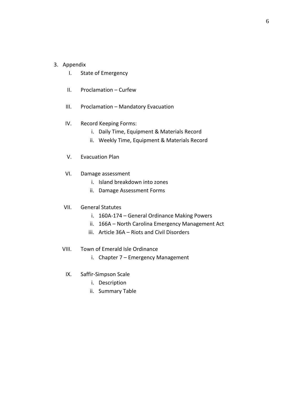# 3. Appendix

- I. State of Emergency
- II. Proclamation Curfew
- III. Proclamation Mandatory Evacuation
- IV. Record Keeping Forms:
	- i. Daily Time, Equipment & Materials Record
	- ii. Weekly Time, Equipment & Materials Record
- V. Evacuation Plan
- VI. Damage assessment
	- i. Island breakdown into zones
	- ii. Damage Assessment Forms

## VII. General Statutes

- i. 160A-174 General Ordinance Making Powers
- ii. 166A North Carolina Emergency Management Act
- iii. Article 36A Riots and Civil Disorders
- VIII. Town of Emerald Isle Ordinance
	- i. Chapter 7 Emergency Management
	- IX. Saffir-Simpson Scale
		- i. Description
		- ii. Summary Table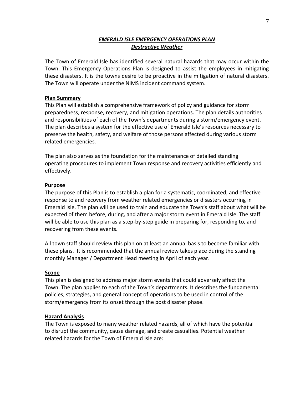# *EMERALD ISLE EMERGENCY OPERATIONS PLAN Destructive Weather*

The Town of Emerald Isle has identified several natural hazards that may occur within the Town. This Emergency Operations Plan is designed to assist the employees in mitigating these disasters. It is the towns desire to be proactive in the mitigation of natural disasters. The Town will operate under the NIMS incident command system.

# **Plan Summary**

This Plan will establish a comprehensive framework of policy and guidance for storm preparedness, response, recovery, and mitigation operations. The plan details authorities and responsibilities of each of the Town's departments during a storm/emergency event. The plan describes a system for the effective use of Emerald Isle's resources necessary to preserve the health, safety, and welfare of those persons affected during various storm related emergencies.

The plan also serves as the foundation for the maintenance of detailed standing operating procedures to implement Town response and recovery activities efficiently and effectively.

# **Purpose**

The purpose of this Plan is to establish a plan for a systematic, coordinated, and effective response to and recovery from weather related emergencies or disasters occurring in Emerald Isle. The plan will be used to train and educate the Town's staff about what will be expected of them before, during, and after a major storm event in Emerald Isle. The staff will be able to use this plan as a step-by-step guide in preparing for, responding to, and recovering from these events.

All town staff should review this plan on at least an annual basis to become familiar with these plans. It is recommended that the annual review takes place during the standing monthly Manager / Department Head meeting in April of each year.

# **Scope**

This plan is designed to address major storm events that could adversely affect the Town. The plan applies to each of the Town's departments. It describes the fundamental policies, strategies, and general concept of operations to be used in control of the storm/emergency from its onset through the post disaster phase.

# **Hazard Analysis**

The Town is exposed to many weather related hazards, all of which have the potential to disrupt the community, cause damage, and create casualties. Potential weather related hazards for the Town of Emerald Isle are: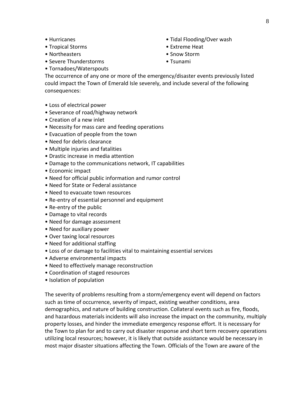- Hurricanes
- Tropical Storms
- Northeasters
- Severe Thunderstorms
- Tornadoes/Waterspouts
- Tidal Flooding/Over wash
- Extreme Heat
- Snow Storm
- Tsunami

The occurrence of any one or more of the emergency/disaster events previously listed could impact the Town of Emerald Isle severely, and include several of the following consequences:

- Loss of electrical power
- Severance of road/highway network
- Creation of a new inlet
- Necessity for mass care and feeding operations
- Evacuation of people from the town
- Need for debris clearance
- Multiple injuries and fatalities
- Drastic increase in media attention
- Damage to the communications network, IT capabilities
- Economic impact
- Need for official public information and rumor control
- Need for State or Federal assistance
- Need to evacuate town resources
- Re-entry of essential personnel and equipment
- Re-entry of the public
- Damage to vital records
- Need for damage assessment
- Need for auxiliary power
- Over taxing local resources
- Need for additional staffing
- Loss of or damage to facilities vital to maintaining essential services
- Adverse environmental impacts
- Need to effectively manage reconstruction
- Coordination of staged resources
- Isolation of population

The severity of problems resulting from a storm/emergency event will depend on factors such as time of occurrence, severity of impact, existing weather conditions, area demographics, and nature of building construction. Collateral events such as fire, floods, and hazardous materials incidents will also increase the impact on the community, multiply property losses, and hinder the immediate emergency response effort. It is necessary for the Town to plan for and to carry out disaster response and short term recovery operations utilizing local resources; however, it is likely that outside assistance would be necessary in most major disaster situations affecting the Town. Officials of the Town are aware of the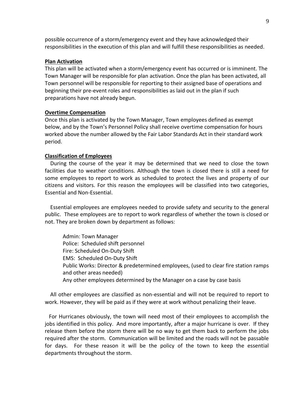possible occurrence of a storm/emergency event and they have acknowledged their responsibilities in the execution of this plan and will fulfill these responsibilities as needed.

# **Plan Activation**

This plan will be activated when a storm/emergency event has occurred or is imminent. The Town Manager will be responsible for plan activation. Once the plan has been activated, all Town personnel will be responsible for reporting to their assigned base of operations and beginning their pre-event roles and responsibilities as laid out in the plan if such preparations have not already begun.

#### **Overtime Compensation**

Once this plan is activated by the Town Manager, Town employees defined as exempt below, and by the Town's Personnel Policy shall receive overtime compensation for hours worked above the number allowed by the Fair Labor Standards Act in their standard work period.

## **Classification of Employees**

 During the course of the year it may be determined that we need to close the town facilities due to weather conditions. Although the town is closed there is still a need for some employees to report to work as scheduled to protect the lives and property of our citizens and visitors. For this reason the employees will be classified into two categories, Essential and Non-Essential.

 Essential employees are employees needed to provide safety and security to the general public. These employees are to report to work regardless of whether the town is closed or not. They are broken down by department as follows:

Admin: Town Manager Police: Scheduled shift personnel Fire: Scheduled On-Duty Shift EMS: Scheduled On-Duty Shift Public Works: Director & predetermined employees, (used to clear fire station ramps and other areas needed) Any other employees determined by the Manager on a case by case basis

 All other employees are classified as non-essential and will not be required to report to work. However, they will be paid as if they were at work without penalizing their leave.

 For Hurricanes obviously, the town will need most of their employees to accomplish the jobs identified in this policy. And more importantly, after a major hurricane is over. If they release them before the storm there will be no way to get them back to perform the jobs required after the storm. Communication will be limited and the roads will not be passable for days. For these reason it will be the policy of the town to keep the essential departments throughout the storm.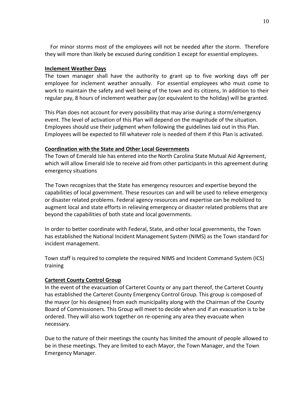For minor storms most of the employees will not be needed after the storm. Therefore they will more than likely be excused during condition 1 except for essential employees.

# **Inclement Weather Days**

The town manager shall have the authority to grant up to five working days off per employee for inclement weather annually. For essential employees who must come to work to maintain the safety and well being of the town and its citizens, In addition to their regular pay, 8 hours of inclement weather pay (or equivalent to the holiday) will be granted.

This Plan does not account for every possibility that may arise during a storm/emergency event. The level of activation of this Plan will depend on the magnitude of the situation. Employees should use their judgment when following the guidelines laid out in this Plan. Employees will be expected to fill whatever role is needed of them if this Plan is activated.

# **Coordination with the State and Other Local Governments**

The Town of Emerald Isle has entered into the North Carolina State Mutual Aid Agreement, which will allow Emerald Isle to receive aid from other participants in this agreement during emergency situations

The Town recognizes that the State has emergency resources and expertise beyond the capabilities of local government. These resources can and will be used to relieve emergency or disaster related problems. Federal agency resources and expertise can be mobilized to augment local and state efforts in relieving emergency or disaster related problems that are beyond the capabilities of both state and local governments.

In order to better coordinate with Federal, State, and other local governments, the Town has established the National Incident Management System (NIMS) as the Town standard for incident management.

Town staff is required to complete the required NIMS and Incident Command System (ICS) training

# **Carteret County Control Group**

In the event of the evacuation of Carteret County or any part thereof, the Carteret County has established the Carteret County Emergency Control Group. This group is composed of the mayor (or his designee) from each municipality along with the Chairman of the County Board of Commissioners. This Group will meet to decide when and if an evacuation is to be ordered. They will also work together on re-opening any area they evacuate when necessary.

Due to the nature of their meetings the county has limited the amount of people allowed to be in these meetings. They are limited to each Mayor, the Town Manager, and the Town Emergency Manager.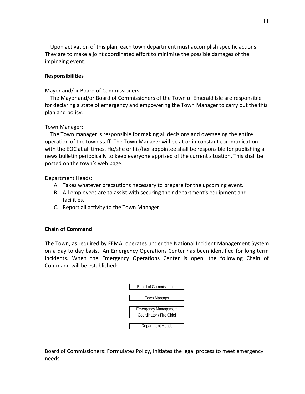Upon activation of this plan, each town department must accomplish specific actions. They are to make a joint coordinated effort to minimize the possible damages of the impinging event.

# **Responsibilities**

Mayor and/or Board of Commissioners:

 The Mayor and/or Board of Commissioners of the Town of Emerald Isle are responsible for declaring a state of emergency and empowering the Town Manager to carry out the this plan and policy.

# Town Manager:

 The Town manager is responsible for making all decisions and overseeing the entire operation of the town staff. The Town Manager will be at or in constant communication with the EOC at all times. He/she or his/her appointee shall be responsible for publishing a news bulletin periodically to keep everyone apprised of the current situation. This shall be posted on the town's web page.

Department Heads:

- A. Takes whatever precautions necessary to prepare for the upcoming event.
- B. All employees are to assist with securing their department's equipment and facilities.
- C. Report all activity to the Town Manager.

# **Chain of Command**

The Town, as required by FEMA, operates under the National Incident Management System on a day to day basis. An Emergency Operations Center has been identified for long term incidents. When the Emergency Operations Center is open, the following Chain of Command will be established:



Board of Commissioners: Formulates Policy, Initiates the legal process to meet emergency needs,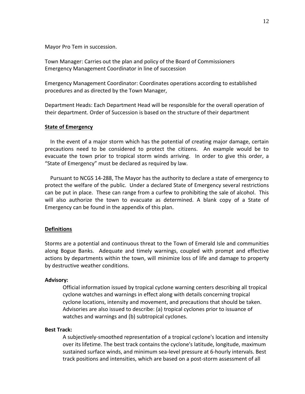Mayor Pro Tem in succession.

Town Manager: Carries out the plan and policy of the Board of Commissioners Emergency Management Coordinator in line of succession

Emergency Management Coordinator: Coordinates operations according to established procedures and as directed by the Town Manager,

Department Heads: Each Department Head will be responsible for the overall operation of their department. Order of Succession is based on the structure of their department

# **State of Emergency**

In the event of a major storm which has the potential of creating major damage, certain precautions need to be considered to protect the citizens. An example would be to evacuate the town prior to tropical storm winds arriving. In order to give this order, a "State of Emergency" must be declared as required by law.

Pursuant to NCGS 14-288, The Mayor has the authority to declare a state of emergency to protect the welfare of the public. Under a declared State of Emergency several restrictions can be put in place. These can range from a curfew to prohibiting the sale of alcohol. This will also authorize the town to evacuate as determined. A blank copy of a State of Emergency can be found in the appendix of this plan.

#### **Definitions**

Storms are a potential and continuous threat to the Town of Emerald Isle and communities along Bogue Banks. Adequate and timely warnings, coupled with prompt and effective actions by departments within the town, will minimize loss of life and damage to property by destructive weather conditions.

### **Advisory:**

Official information issued by tropical cyclone warning centers describing all [tropical](http://www.nhc.noaa.gov/aboutgloss.shtml#TROPCYC)  [cyclone](http://www.nhc.noaa.gov/aboutgloss.shtml#TROPCYC) watches and warnings in effect along with details concerning tropical cyclone locations, intensity and movement, and precautions that should be taken. Advisories are also issued to describe: (a) [tropical cyclones](http://www.nhc.noaa.gov/aboutgloss.shtml#TROPCYC) prior to issuance of watches and warnings and (b) [subtropical cyclones.](http://www.nhc.noaa.gov/aboutgloss.shtml#SUBCYC)

#### **Best Track:**

A subjectively-smoothed representation of a [tropical cyclone's](http://www.nhc.noaa.gov/aboutgloss.shtml#TROPCYC) location and intensity over its lifetime. The best track contains the cyclone's latitude, longitude, maximum sustained surface winds, and minimum sea-level pressure at 6-hourly intervals. Best track positions and intensities, which are based on a post-storm assessment of all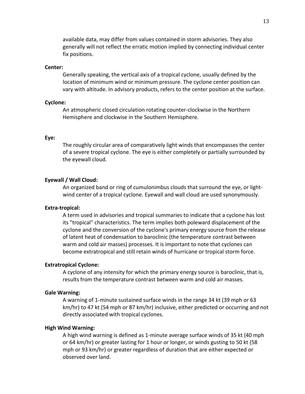available data, may differ from values contained in storm advisories. They also generally will not reflect the erratic motion implied by connecting individual [center](http://www.nhc.noaa.gov/aboutgloss.shtml#FIX)  [fix](http://www.nhc.noaa.gov/aboutgloss.shtml#FIX) positions.

## **Center:**

Generally speaking, the vertical axis of a [tropical cyclone,](http://www.nhc.noaa.gov/aboutgloss.shtml#TROPCYC) usually defined by the location of minimum wind or minimum pressure. The cyclone center position can vary with altitude. In [advisory](http://www.nhc.noaa.gov/aboutgloss.shtml#ADVISORY) products, refers to the center position at the surface.

#### **Cyclone:**

An atmospheric closed circulation rotating counter-clockwise in the Northern Hemisphere and clockwise in the Southern Hemisphere.

#### **Eye:**

The roughly circular area of comparatively light winds that encompasses the center of a severe [tropical cyclone.](http://www.nhc.noaa.gov/aboutgloss.shtml#TROPCYC) The eye is either completely or partially surrounded by the [eyewall](http://www.nhc.noaa.gov/aboutgloss.shtml#EYEWALL) cloud.

## **Eyewall / Wall Cloud:**

An organized band or ring of cumulonimbus clouds that surround the eye, or lightwind center of a [tropical cyclone.](http://www.nhc.noaa.gov/aboutgloss.shtml#TROPCYC) Eyewall and wall cloud are used synonymously.

## **Extra-tropical:**

A term used in advisories and tropical summaries to indicate that a cyclone has lost its "tropical" characteristics. The term implies both poleward displacement of the cyclone and the conversion of the cyclone's primary energy source from the release of latent heat of condensation to baroclinic (the temperature contrast between warm and cold air masses) processes. It is important to note that cyclones can become extratropical and still retain winds of [hurricane](http://www.nhc.noaa.gov/aboutgloss.shtml#HURRICANE) or [tropical storm](http://www.nhc.noaa.gov/aboutgloss.shtml#TROPSTRM) force.

## **Extratropical Cyclone:**

A cyclone of any intensity for which the primary energy source is baroclinic, that is, results from the temperature contrast between warm and cold air masses.

### **Gale Warning:**

A warning of 1-minute sustained surface winds in the range 34 kt (39 mph or 63 km/hr) to 47 kt (54 mph or 87 km/hr) inclusive, either predicted or occurring and not directly associated with [tropical cyclones.](http://www.nhc.noaa.gov/aboutgloss.shtml#TROPCYC)

# **High Wind Warning:**

A high wind warning is defined as 1-minute average surface winds of 35 kt (40 mph or 64 km/hr) or greater lasting for 1 hour or longer, or winds gusting to 50 kt (58 mph or 93 km/hr) or greater regardless of duration that are either expected or observed over land.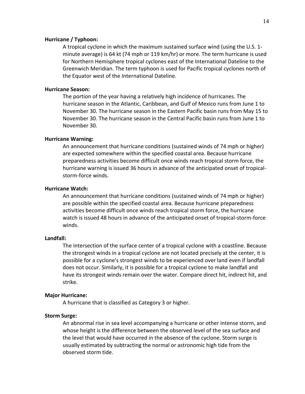## **Hurricane / Typhoon:**

A [tropical cyclone](http://www.nhc.noaa.gov/aboutgloss.shtml#TROPCYC) in which the maximum sustained surface wind (using the U.S. 1 minute average) is 64 kt (74 mph or 119 km/hr) or more. The term hurricane is used for Northern Hemisphere tropical cyclones east of the International Dateline to the Greenwich Meridian. The term typhoon is used for Pacific tropical cyclones north of the Equator west of the International Dateline.

## **Hurricane Season:**

The portion of the year having a relatively high incidence of hurricanes. The hurricane season in the Atlantic, Caribbean, and Gulf of Mexico runs from June 1 to November 30. The hurricane season in th[e Eastern Pacific basin](http://www.nhc.noaa.gov/aboutgloss.shtml#EPAC) runs from May 15 to November 30. The hurricane season in th[e Central Pacific basin](http://www.nhc.noaa.gov/aboutgloss.shtml#CPAC) runs from June 1 to November 30.

# **Hurricane Warning:**

An announcement that [hurricane](http://www.nhc.noaa.gov/aboutgloss.shtml#HURRICANE) conditions (sustained winds of 74 mph or higher) are expected somewhere within the specified coastal area. Because hurricane preparedness activities become difficult once winds reach tropical storm force, the hurricane warning is issued 36 hours in advance of the anticipated onset of tropicalstorm-force winds.

# **Hurricane Watch:**

An announcement that [hurricane](http://www.nhc.noaa.gov/aboutgloss.shtml#HURRICANE) conditions (sustained winds of 74 mph or higher) are possible within the specified coastal area. Because hurricane preparedness activities become difficult once winds reach tropical storm force, the hurricane watch is issued 48 hours in advance of the anticipated onset of tropical-storm-force winds.

## **Landfall:**

The intersection of the surface [center](http://www.nhc.noaa.gov/aboutgloss.shtml#CENTER) of a [tropical cyclone](http://www.nhc.noaa.gov/aboutgloss.shtml#TROPCYC) with a coastline. Because the strongest winds in a tropical cyclone are not located precisely at the center, it is possible for a cyclone's strongest winds to be experienced over land even if landfall does not occur. Similarly, it is possible for a tropical cyclone to make landfall and have its strongest winds remain over the water. Compare [direct hit,](http://www.nhc.noaa.gov/aboutgloss.shtml#DIRECTHIT) [indirect hit,](http://www.nhc.noaa.gov/aboutgloss.shtml#INDIRECTHIT) and [strike.](http://www.nhc.noaa.gov/aboutgloss.shtml#STRIKE)

#### **Major Hurricane:**

A [hurricane](http://www.nhc.noaa.gov/aboutgloss.shtml#HURRICANE) that is classified as Category 3 or higher.

#### **Storm Surge:**

An abnormal rise in sea level accompanying a [hurricane](http://www.nhc.noaa.gov/aboutgloss.shtml#HURRICANE) or other intense storm, and whose height is the difference between the observed level of the sea surface and the level that would have occurred in the absence of the cyclone. Storm surge is usually estimated by subtracting the normal or astronomic high tide from the observed storm tide.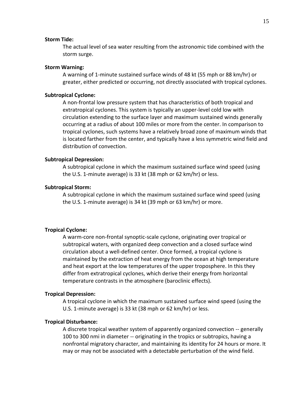#### **Storm Tide:**

The actual level of sea water resulting from the astronomic tide combined with the [storm surge.](http://www.nhc.noaa.gov/aboutgloss.shtml#SURGE)

#### **Storm Warning:**

A warning of 1-minute sustained surface winds of 48 kt (55 mph or 88 km/hr) or greater, either predicted or occurring, not directly associated wit[h tropical cyclones.](http://www.nhc.noaa.gov/aboutgloss.shtml#TROPCYC)

#### **Subtropical Cyclone:**

A non-frontal low pressure system that has characteristics of both tropical and extratropical cyclones. This system is typically an upper-level cold low with circulation extending to the surface layer and maximum sustained winds generally occurring at a radius of about 100 miles or more from the center. In comparison to [tropical cyclones,](http://www.nhc.noaa.gov/aboutgloss.shtml#TROPCYC) such systems have a relatively broad zone of maximum winds that is located farther from the center, and typically have a less symmetric wind field and distribution of convection.

#### **Subtropical Depression:**

A [subtropical cyclone](http://www.nhc.noaa.gov/aboutgloss.shtml#SUBCYC) in which the maximum sustained surface wind speed (using the U.S. 1-minute average) is 33 kt (38 mph or 62 km/hr) or less.

#### **Subtropical Storm:**

A [subtropical cyclone](http://www.nhc.noaa.gov/aboutgloss.shtml#SUBCYC) in which the maximum sustained surface wind speed (using the U.S. 1-minute average) is 34 kt (39 mph or 63 km/hr) or more.

#### **Tropical Cyclone:**

A warm-core non-frontal synoptic-scale cyclone, originating over tropical or subtropical waters, with organized deep convection and a closed surface wind circulation about a well-defined [center.](http://www.nhc.noaa.gov/aboutgloss.shtml#CENTER) Once formed, a tropical cyclone is maintained by the extraction of heat energy from the ocean at high temperature and heat export at the low temperatures of the upper troposphere. In this they differ fro[m extratropical](http://www.nhc.noaa.gov/aboutgloss.shtml#EXTRA) cyclones, which derive their energy from horizontal temperature contrasts in the atmosphere (baroclinic effects).

#### **Tropical Depression:**

A [tropical cyclone](http://www.nhc.noaa.gov/aboutgloss.shtml#TROPCYC) in which the maximum sustained surface wind speed (using the U.S. 1-minute average) is 33 kt (38 mph or 62 km/hr) or less.

#### **Tropical Disturbance:**

A discrete tropical weather system of apparently organized convection -- generally 100 to 300 nmi in diameter -- originating in the tropics or subtropics, having a nonfrontal migratory character, and maintaining its identity for 24 hours or more. It may or may not be associated with a detectable perturbation of the wind field.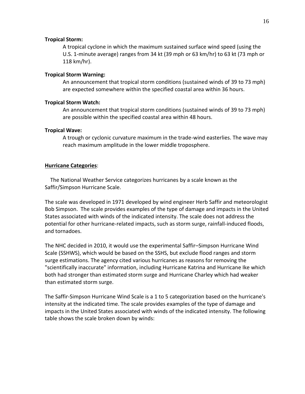## **Tropical Storm:**

A [tropical cyclone](http://www.nhc.noaa.gov/aboutgloss.shtml#TROPCYC) in which the maximum sustained surface wind speed (using the U.S. 1-minute average) ranges from 34 kt (39 mph or 63 km/hr) to 63 kt (73 mph or 118 km/hr).

## **Tropical Storm Warning:**

An announcement that tropical storm conditions (sustained winds of 39 to 73 mph) are expected somewhere within the specified coastal area within 36 hours.

## **Tropical Storm Watch:**

An announcement that tropical storm conditions (sustained winds of 39 to 73 mph) are possible within the specified coastal area within 48 hours.

## **Tropical Wave:**

A trough or cyclonic curvature maximum in the trade-wind easterlies. The wave may reach maximum amplitude in the lower middle troposphere.

## **Hurricane Categories**:

 The National Weather Service categorizes hurricanes by a scale known as the Saffir/Simpson Hurricane Scale.

The scale was developed in 1971 developed by wind engineer Herb Saffir and meteorologist Bob Simpson. The scale provides examples of the type of damage and impacts in the United States associated with winds of the indicated intensity. The scale does not address the potential for other hurricane-related impacts, such as storm surge, rainfall-induced floods, and tornadoes.

The NHC decided in 2010, it would use the experimental Saffir–Simpson Hurricane Wind Scale (SSHWS), which would be based on the SSHS, but exclude flood ranges and storm surge estimations. The agency cited various hurricanes as reasons for removing the "scientifically inaccurate" information, includin[g Hurricane Katrina](http://en.wikipedia.org/wiki/Hurricane_Katrina) and [Hurricane Ike](http://en.wikipedia.org/wiki/Hurricane_Ike) which both had stronger than estimated storm surge and [Hurricane Charley](http://en.wikipedia.org/wiki/Hurricane_Charley) which had weaker than estimated storm surge.

The Saffir-Simpson Hurricane Wind Scale is a 1 to 5 categorization based on the hurricane's intensity at the indicated time. The scale provides examples of the type of damage and impacts in the United States associated with winds of the indicated intensity. The following table shows the scale broken down by winds: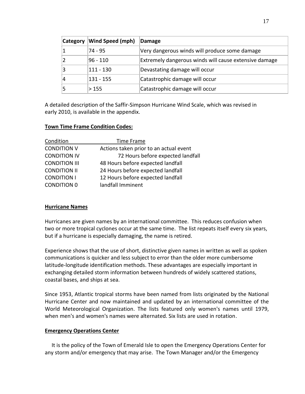| <b>Category</b> | <b>Wind Speed (mph)</b> | Damage                                                |
|-----------------|-------------------------|-------------------------------------------------------|
|                 | $74 - 95$               | Very dangerous winds will produce some damage         |
|                 | $96 - 110$              | Extremely dangerous winds will cause extensive damage |
|                 | $111 - 130$             | Devastating damage will occur                         |
|                 | $131 - 155$             | Catastrophic damage will occur                        |
|                 | >155                    | Catastrophic damage will occur                        |

A detailed description of the Saffir-Simpson Hurricane Wind Scale, which was revised in early 2010, is available in the appendix.

# **Town Time Frame Condition Codes:**

| Condition            | Time Frame                             |
|----------------------|----------------------------------------|
| <b>CONDITION V</b>   | Actions taken prior to an actual event |
| <b>CONDITION IV</b>  | 72 Hours before expected landfall      |
| <b>CONDITION III</b> | 48 Hours before expected landfall      |
| <b>CONDITION II</b>  | 24 Hours before expected landfall      |
| <b>CONDITION I</b>   | 12 Hours before expected landfall      |
| <b>CONDITION 0</b>   | landfall Imminent                      |

# **Hurricane Names**

Hurricanes are given names by an international committee. This reduces confusion when two or more tropical cyclones occur at the same time. The list repeats itself every six years, but if a hurricane is especially damaging, the name is retired.

Experience shows that the use of short, distinctive given names in written as well as spoken communications is quicker and less subject to error than the older more cumbersome latitude-longitude identification methods. These advantages are especially important in exchanging detailed storm information between hundreds of widely scattered stations, coastal bases, and ships at sea.

Since 1953, Atlantic tropical storms have been named from lists originated by the National Hurricane Center and now maintained and updated by an international committee of the World Meteorological Organization. The lists featured only women's names until 1979, when men's and women's names were alternated. Six lists are used in rotation.

# **Emergency Operations Center**

 It is the policy of the Town of Emerald Isle to open the Emergency Operations Center for any storm and/or emergency that may arise. The Town Manager and/or the Emergency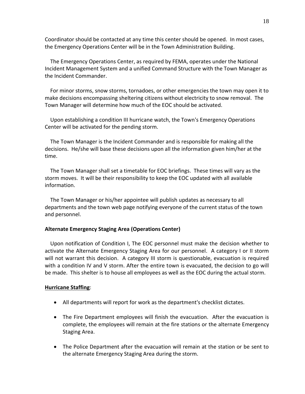Coordinator should be contacted at any time this center should be opened. In most cases, the Emergency Operations Center will be in the Town Administration Building.

 The Emergency Operations Center, as required by FEMA, operates under the National Incident Management System and a unified Command Structure with the Town Manager as the Incident Commander.

 For minor storms, snow storms, tornadoes, or other emergencies the town may open it to make decisions encompassing sheltering citizens without electricity to snow removal. The Town Manager will determine how much of the EOC should be activated.

 Upon establishing a condition III hurricane watch, the Town's Emergency Operations Center will be activated for the pending storm.

 The Town Manager is the Incident Commander and is responsible for making all the decisions. He/she will base these decisions upon all the information given him/her at the time.

 The Town Manager shall set a timetable for EOC briefings. These times will vary as the storm moves. It will be their responsibility to keep the EOC updated with all available information.

 The Town Manager or his/her appointee will publish updates as necessary to all departments and the town web page notifying everyone of the current status of the town and personnel.

# **Alternate Emergency Staging Area (Operations Center)**

 Upon notification of Condition I, The EOC personnel must make the decision whether to activate the Alternate Emergency Staging Area for our personnel. A category I or II storm will not warrant this decision. A category III storm is questionable, evacuation is required with a condition IV and V storm. After the entire town is evacuated, the decision to go will be made. This shelter is to house all employees as well as the EOC during the actual storm.

# **Hurricane Staffing**:

- All departments will report for work as the department's checklist dictates.
- The Fire Department employees will finish the evacuation. After the evacuation is complete, the employees will remain at the fire stations or the alternate Emergency Staging Area.
- The Police Department after the evacuation will remain at the station or be sent to the alternate Emergency Staging Area during the storm.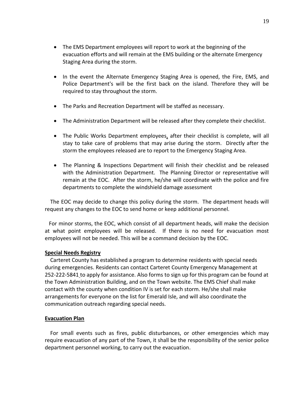- The EMS Department employees will report to work at the beginning of the evacuation efforts and will remain at the EMS building or the alternate Emergency Staging Area during the storm.
- In the event the Alternate Emergency Staging Area is opened, the Fire, EMS, and Police Department's will be the first back on the island. Therefore they will be required to stay throughout the storm.
- The Parks and Recreation Department will be staffed as necessary.
- The Administration Department will be released after they complete their checklist.
- The Public Works Department employees, after their checklist is complete, will all stay to take care of problems that may arise during the storm. Directly after the storm the employees released are to report to the Emergency Staging Area.
- The Planning & Inspections Department will finish their checklist and be released with the Administration Department. The Planning Director or representative will remain at the EOC. After the storm, he/she will coordinate with the police and fire departments to complete the windshield damage assessment

 The EOC may decide to change this policy during the storm. The department heads will request any changes to the EOC to send home or keep additional personnel.

 For minor storms, the EOC, which consist of all department heads, will make the decision at what point employees will be released. If there is no need for evacuation most employees will not be needed. This will be a command decision by the EOC.

# **Special Needs Registry**

 Carteret County has established a program to determine residents with special needs during emergencies. Residents can contact Carteret County Emergency Management at 252-222-5841 to apply for assistance. Also forms to sign up for this program can be found at the Town Administration Building, and on the Town website. The EMS Chief shall make contact with the county when condition IV is set for each storm. He/she shall make arrangements for everyone on the list for Emerald Isle, and will also coordinate the communication outreach regarding special needs.

# **Evacuation Plan**

For small events such as fires, public disturbances, or other emergencies which may require evacuation of any part of the Town, it shall be the responsibility of the senior police department personnel working, to carry out the evacuation.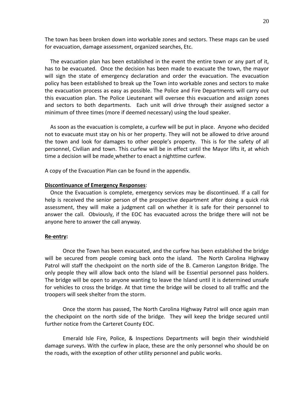The town has been broken down into workable zones and sectors. These maps can be used for evacuation, damage assessment, organized searches, Etc.

The evacuation plan has been established in the event the entire town or any part of it, has to be evacuated. Once the decision has been made to evacuate the town, the mayor will sign the state of emergency declaration and order the evacuation. The evacuation policy has been established to break up the Town into workable zones and sectors to make the evacuation process as easy as possible. The Police and Fire Departments will carry out this evacuation plan. The Police Lieutenant will oversee this evacuation and assign zones and sectors to both departments. Each unit will drive through their assigned sector a minimum of three times (more if deemed necessary) using the loud speaker.

 As soon as the evacuation is complete, a curfew will be put in place. Anyone who decided not to evacuate must stay on his or her property. They will not be allowed to drive around the town and look for damages to other people's property. This is for the safety of all personnel, Civilian and town. This curfew will be in effect until the Mayor lifts it, at which time a decision will be made whether to enact a nighttime curfew.

A copy of the Evacuation Plan can be found in the appendix.

#### **Discontinuance of Emergency Responses**:

 Once the Evacuation is complete, emergency services may be discontinued. If a call for help is received the senior person of the prospective department after doing a quick risk assessment, they will make a judgment call on whether it is safe for their personnel to answer the call. Obviously, if the EOC has evacuated across the bridge there will not be anyone here to answer the call anyway.

#### **Re-entry:**

Once the Town has been evacuated, and the curfew has been established the bridge will be secured from people coming back onto the island. The North Carolina Highway Patrol will staff the checkpoint on the north side of the B. Cameron Langston Bridge. The only people they will allow back onto the Island will be Essential personnel pass holders. The bridge will be open to anyone wanting to leave the Island until it is determined unsafe for vehicles to cross the bridge. At that time the bridge will be closed to all traffic and the troopers will seek shelter from the storm.

Once the storm has passed, The North Carolina Highway Patrol will once again man the checkpoint on the north side of the bridge. They will keep the bridge secured until further notice from the Carteret County EOC.

Emerald Isle Fire, Police, & Inspections Departments will begin their windshield damage surveys. With the curfew in place, these are the only personnel who should be on the roads, with the exception of other utility personnel and public works.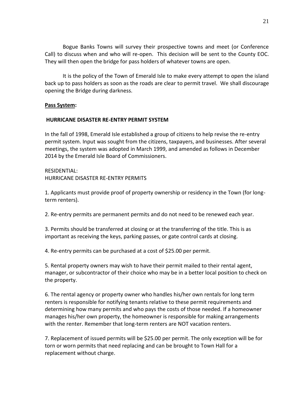Bogue Banks Towns will survey their prospective towns and meet (or Conference Call) to discuss when and who will re-open. This decision will be sent to the County EOC. They will then open the bridge for pass holders of whatever towns are open.

It is the policy of the Town of Emerald Isle to make every attempt to open the island back up to pass holders as soon as the roads are clear to permit travel. We shall discourage opening the Bridge during darkness.

# **Pass System:**

# **HURRICANE DISASTER RE-ENTRY PERMIT SYSTEM**

In the fall of 1998, Emerald Isle established a group of citizens to help revise the re-entry permit system. Input was sought from the citizens, taxpayers, and businesses. After several meetings, the system was adopted in March 1999, and amended as follows in December 2014 by the Emerald Isle Board of Commissioners.

# RESIDENTIAL: HURRICANE DISASTER RE-ENTRY PERMITS

1. Applicants must provide proof of property ownership or residency in the Town (for longterm renters).

2. Re-entry permits are permanent permits and do not need to be renewed each year.

3. Permits should be transferred at closing or at the transferring of the title. This is as important as receiving the keys, parking passes, or gate control cards at closing.

4. Re-entry permits can be purchased at a cost of \$25.00 per permit.

5. Rental property owners may wish to have their permit mailed to their rental agent, manager, or subcontractor of their choice who may be in a better local position to check on the property.

6. The rental agency or property owner who handles his/her own rentals for long term renters is responsible for notifying tenants relative to these permit requirements and determining how many permits and who pays the costs of those needed. If a homeowner manages his/her own property, the homeowner is responsible for making arrangements with the renter. Remember that long-term renters are NOT vacation renters.

7. Replacement of issued permits will be \$25.00 per permit. The only exception will be for torn or worn permits that need replacing and can be brought to Town Hall for a replacement without charge.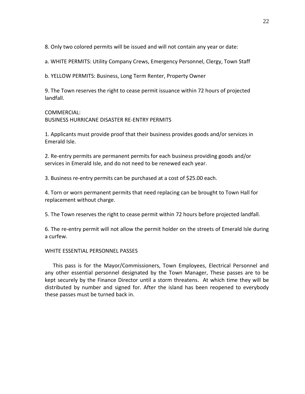8. Only two colored permits will be issued and will not contain any year or date:

a. WHITE PERMITS: Utility Company Crews, Emergency Personnel, Clergy, Town Staff

b. YELLOW PERMITS: Business, Long Term Renter, Property Owner

9. The Town reserves the right to cease permit issuance within 72 hours of projected landfall.

# COMMERCIAL:

BUSINESS HURRICANE DISASTER RE-ENTRY PERMITS

1. Applicants must provide proof that their business provides goods and/or services in Emerald Isle.

2. Re-entry permits are permanent permits for each business providing goods and/or services in Emerald Isle, and do not need to be renewed each year.

3. Business re-entry permits can be purchased at a cost of \$25.00 each.

4. Torn or worn permanent permits that need replacing can be brought to Town Hall for replacement without charge.

5. The Town reserves the right to cease permit within 72 hours before projected landfall.

6. The re-entry permit will not allow the permit holder on the streets of Emerald Isle during a curfew.

# WHITE ESSENTIAL PERSONNEL PASSES

 This pass is for the Mayor/Commissioners, Town Employees, Electrical Personnel and any other essential personnel designated by the Town Manager, These passes are to be kept securely by the Finance Director until a storm threatens. At which time they will be distributed by number and signed for. After the island has been reopened to everybody these passes must be turned back in.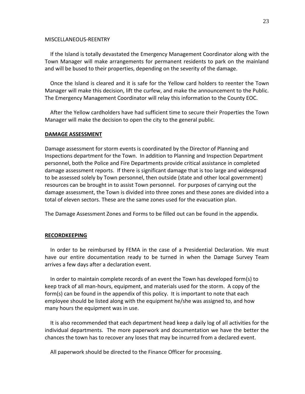#### MISCELLANEOUS-REENTRY

 If the Island is totally devastated the Emergency Management Coordinator along with the Town Manager will make arrangements for permanent residents to park on the mainland and will be bused to their properties, depending on the severity of the damage.

 Once the Island is cleared and it is safe for the Yellow card holders to reenter the Town Manager will make this decision, lift the curfew, and make the announcement to the Public. The Emergency Management Coordinator will relay this information to the County EOC.

 After the Yellow cardholders have had sufficient time to secure their Properties the Town Manager will make the decision to open the city to the general public.

#### **DAMAGE ASSESSMENT**

Damage assessment for storm events is coordinated by the Director of Planning and Inspections department for the Town. In addition to Planning and Inspection Department personnel, both the Police and Fire Departments provide critical assistance in completed damage assessment reports. If there is significant damage that is too large and widespread to be assessed solely by Town personnel, then outside (state and other local government) resources can be brought in to assist Town personnel. For purposes of carrying out the damage assessment, the Town is divided into three zones and these zones are divided into a total of eleven sectors. These are the same zones used for the evacuation plan.

The Damage Assessment Zones and Forms to be filled out can be found in the appendix.

#### **RECORDKEEPING**

 In order to be reimbursed by FEMA in the case of a Presidential Declaration. We must have our entire documentation ready to be turned in when the Damage Survey Team arrives a few days after a declaration event.

 In order to maintain complete records of an event the Town has developed form(s) to keep track of all man-hours, equipment, and materials used for the storm. A copy of the form(s) can be found in the appendix of this policy. It is important to note that each employee should be listed along with the equipment he/she was assigned to, and how many hours the equipment was in use.

 It is also recommended that each department head keep a daily log of all activities for the individual departments. The more paperwork and documentation we have the better the chances the town has to recover any loses that may be incurred from a declared event.

All paperwork should be directed to the Finance Officer for processing.